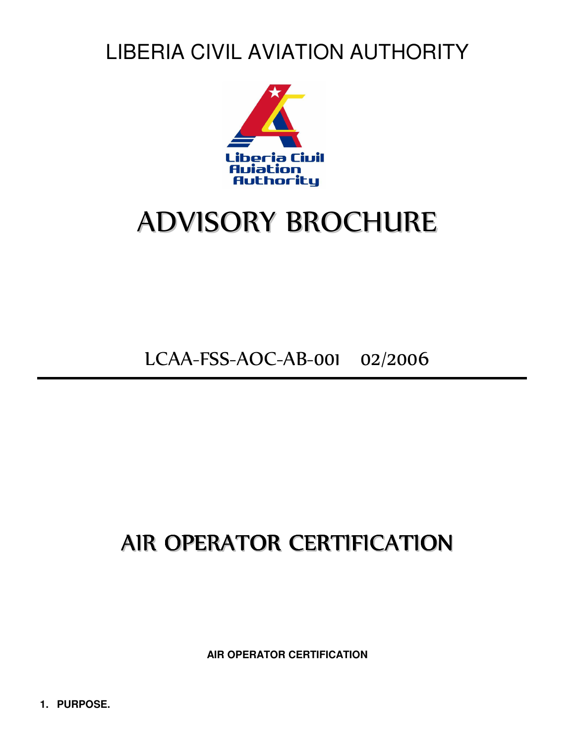LIBERIA CIVIL AVIATION AUTHORITY



# ADVISORY BROCHURE

LCAA-FSS-AOC-AB-001 02/2006

## AIR OPERATOR CERTIFICATION

**AIR OPERATOR CERTIFICATION**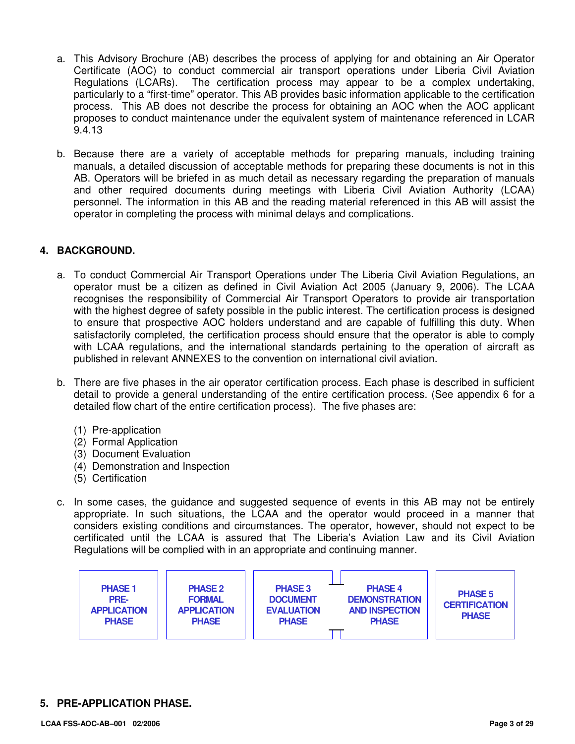- a. This Advisory Brochure (AB) describes the process of applying for and obtaining an Air Operator Certificate (AOC) to conduct commercial air transport operations under Liberia Civil Aviation Regulations (LCARs). The certification process may appear to be a complex undertaking, particularly to a "first-time" operator. This AB provides basic information applicable to the certification process. This AB does not describe the process for obtaining an AOC when the AOC applicant proposes to conduct maintenance under the equivalent system of maintenance referenced in LCAR 9.4.13
- b. Because there are a variety of acceptable methods for preparing manuals, including training manuals, a detailed discussion of acceptable methods for preparing these documents is not in this AB. Operators will be briefed in as much detail as necessary regarding the preparation of manuals and other required documents during meetings with Liberia Civil Aviation Authority (LCAA) personnel. The information in this AB and the reading material referenced in this AB will assist the operator in completing the process with minimal delays and complications.

#### **4. BACKGROUND.**

- a. To conduct Commercial Air Transport Operations under The Liberia Civil Aviation Regulations, an operator must be a citizen as defined in Civil Aviation Act 2005 (January 9, 2006). The LCAA recognises the responsibility of Commercial Air Transport Operators to provide air transportation with the highest degree of safety possible in the public interest. The certification process is designed to ensure that prospective AOC holders understand and are capable of fulfilling this duty. When satisfactorily completed, the certification process should ensure that the operator is able to comply with LCAA regulations, and the international standards pertaining to the operation of aircraft as published in relevant ANNEXES to the convention on international civil aviation.
- b. There are five phases in the air operator certification process. Each phase is described in sufficient detail to provide a general understanding of the entire certification process. (See appendix 6 for a detailed flow chart of the entire certification process). The five phases are:
	- (1) Pre-application
	- (2) Formal Application
	- (3) Document Evaluation
	- (4) Demonstration and Inspection
	- (5) Certification
- c. In some cases, the guidance and suggested sequence of events in this AB may not be entirely appropriate. In such situations, the LCAA and the operator would proceed in a manner that considers existing conditions and circumstances. The operator, however, should not expect to be certificated until the LCAA is assured that The Liberia's Aviation Law and its Civil Aviation Regulations will be complied with in an appropriate and continuing manner.



#### **5. PRE-APPLICATION PHASE.**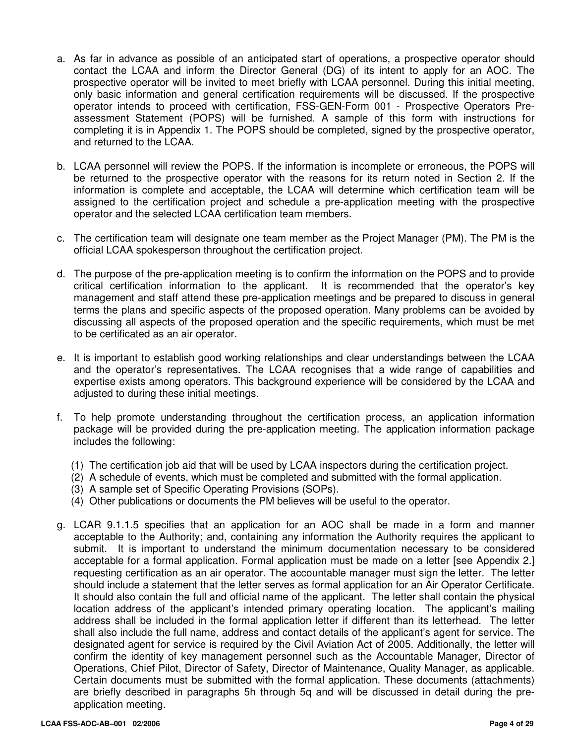- a. As far in advance as possible of an anticipated start of operations, a prospective operator should contact the LCAA and inform the Director General (DG) of its intent to apply for an AOC. The prospective operator will be invited to meet briefly with LCAA personnel. During this initial meeting, only basic information and general certification requirements will be discussed. If the prospective operator intends to proceed with certification, FSS-GEN-Form 001 - Prospective Operators Preassessment Statement (POPS) will be furnished. A sample of this form with instructions for completing it is in Appendix 1. The POPS should be completed, signed by the prospective operator, and returned to the LCAA.
- b. LCAA personnel will review the POPS. If the information is incomplete or erroneous, the POPS will be returned to the prospective operator with the reasons for its return noted in Section 2. If the information is complete and acceptable, the LCAA will determine which certification team will be assigned to the certification project and schedule a pre-application meeting with the prospective operator and the selected LCAA certification team members.
- c. The certification team will designate one team member as the Project Manager (PM). The PM is the official LCAA spokesperson throughout the certification project.
- d. The purpose of the pre-application meeting is to confirm the information on the POPS and to provide critical certification information to the applicant. It is recommended that the operator's key management and staff attend these pre-application meetings and be prepared to discuss in general terms the plans and specific aspects of the proposed operation. Many problems can be avoided by discussing all aspects of the proposed operation and the specific requirements, which must be met to be certificated as an air operator.
- e. It is important to establish good working relationships and clear understandings between the LCAA and the operator's representatives. The LCAA recognises that a wide range of capabilities and expertise exists among operators. This background experience will be considered by the LCAA and adjusted to during these initial meetings.
- f. To help promote understanding throughout the certification process, an application information package will be provided during the pre-application meeting. The application information package includes the following:
	- (1) The certification job aid that will be used by LCAA inspectors during the certification project.
	- (2) A schedule of events, which must be completed and submitted with the formal application.
	- (3) A sample set of Specific Operating Provisions (SOPs).
	- (4) Other publications or documents the PM believes will be useful to the operator.
- g. LCAR 9.1.1.5 specifies that an application for an AOC shall be made in a form and manner acceptable to the Authority; and, containing any information the Authority requires the applicant to submit. It is important to understand the minimum documentation necessary to be considered acceptable for a formal application. Formal application must be made on a letter [see Appendix 2.] requesting certification as an air operator. The accountable manager must sign the letter. The letter should include a statement that the letter serves as formal application for an Air Operator Certificate. It should also contain the full and official name of the applicant. The letter shall contain the physical location address of the applicant's intended primary operating location. The applicant's mailing address shall be included in the formal application letter if different than its letterhead. The letter shall also include the full name, address and contact details of the applicant's agent for service. The designated agent for service is required by the Civil Aviation Act of 2005. Additionally, the letter will confirm the identity of key management personnel such as the Accountable Manager, Director of Operations, Chief Pilot, Director of Safety, Director of Maintenance, Quality Manager, as applicable. Certain documents must be submitted with the formal application. These documents (attachments) are briefly described in paragraphs 5h through 5q and will be discussed in detail during the preapplication meeting.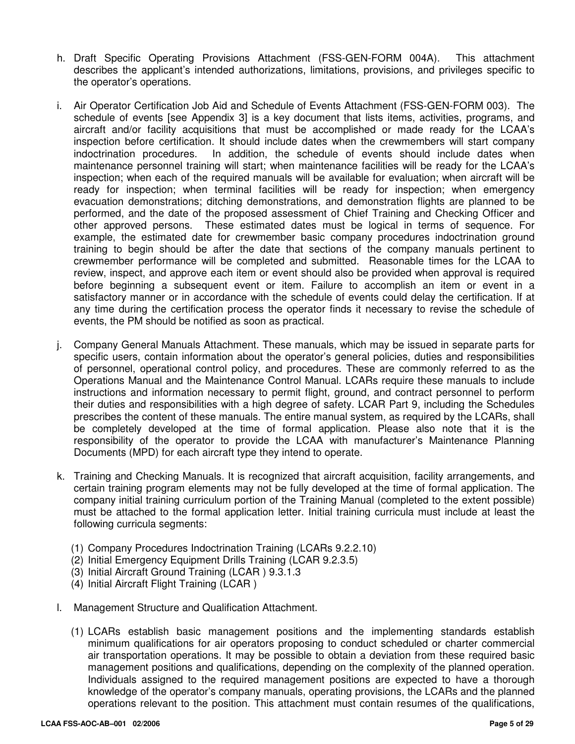- h. Draft Specific Operating Provisions Attachment (FSS-GEN-FORM 004A). This attachment describes the applicant's intended authorizations, limitations, provisions, and privileges specific to the operator's operations.
- i. Air Operator Certification Job Aid and Schedule of Events Attachment (FSS-GEN-FORM 003). The schedule of events [see Appendix 3] is a key document that lists items, activities, programs, and aircraft and/or facility acquisitions that must be accomplished or made ready for the LCAA's inspection before certification. It should include dates when the crewmembers will start company indoctrination procedures. In addition, the schedule of events should include dates when maintenance personnel training will start; when maintenance facilities will be ready for the LCAA's inspection; when each of the required manuals will be available for evaluation; when aircraft will be ready for inspection; when terminal facilities will be ready for inspection; when emergency evacuation demonstrations; ditching demonstrations, and demonstration flights are planned to be performed, and the date of the proposed assessment of Chief Training and Checking Officer and other approved persons. These estimated dates must be logical in terms of sequence. For example, the estimated date for crewmember basic company procedures indoctrination ground training to begin should be after the date that sections of the company manuals pertinent to crewmember performance will be completed and submitted. Reasonable times for the LCAA to review, inspect, and approve each item or event should also be provided when approval is required before beginning a subsequent event or item. Failure to accomplish an item or event in a satisfactory manner or in accordance with the schedule of events could delay the certification. If at any time during the certification process the operator finds it necessary to revise the schedule of events, the PM should be notified as soon as practical.
- j. Company General Manuals Attachment. These manuals, which may be issued in separate parts for specific users, contain information about the operator's general policies, duties and responsibilities of personnel, operational control policy, and procedures. These are commonly referred to as the Operations Manual and the Maintenance Control Manual. LCARs require these manuals to include instructions and information necessary to permit flight, ground, and contract personnel to perform their duties and responsibilities with a high degree of safety. LCAR Part 9, including the Schedules prescribes the content of these manuals. The entire manual system, as required by the LCARs, shall be completely developed at the time of formal application. Please also note that it is the responsibility of the operator to provide the LCAA with manufacturer's Maintenance Planning Documents (MPD) for each aircraft type they intend to operate.
- k. Training and Checking Manuals. It is recognized that aircraft acquisition, facility arrangements, and certain training program elements may not be fully developed at the time of formal application. The company initial training curriculum portion of the Training Manual (completed to the extent possible) must be attached to the formal application letter. Initial training curricula must include at least the following curricula segments:
	- (1) Company Procedures Indoctrination Training (LCARs 9.2.2.10)
	- (2) Initial Emergency Equipment Drills Training (LCAR 9.2.3.5)
	- (3) Initial Aircraft Ground Training (LCAR ) 9.3.1.3
	- (4) Initial Aircraft Flight Training (LCAR )
- l. Management Structure and Qualification Attachment.
	- (1) LCARs establish basic management positions and the implementing standards establish minimum qualifications for air operators proposing to conduct scheduled or charter commercial air transportation operations. It may be possible to obtain a deviation from these required basic management positions and qualifications, depending on the complexity of the planned operation. Individuals assigned to the required management positions are expected to have a thorough knowledge of the operator's company manuals, operating provisions, the LCARs and the planned operations relevant to the position. This attachment must contain resumes of the qualifications,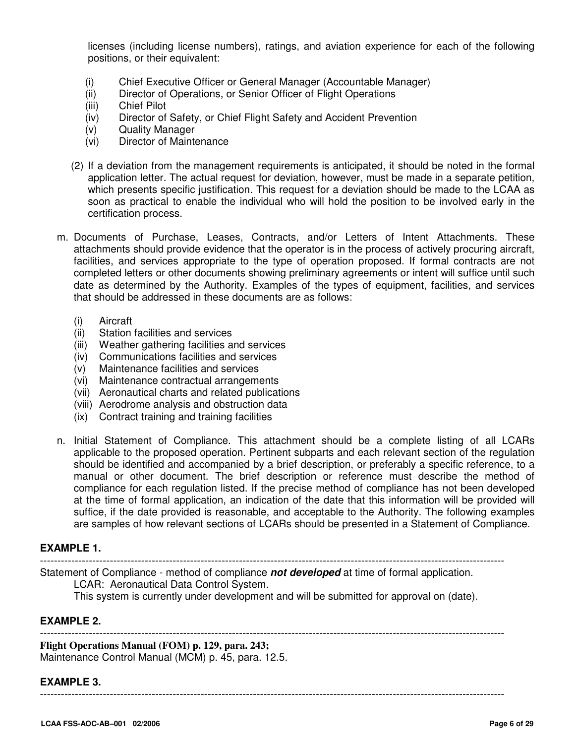licenses (including license numbers), ratings, and aviation experience for each of the following positions, or their equivalent:

- (i) Chief Executive Officer or General Manager (Accountable Manager)<br>(ii) Director of Operations, or Senior Officer of Flight Operations
- Director of Operations, or Senior Officer of Flight Operations
- (iii) Chief Pilot
- (iv) Director of Safety, or Chief Flight Safety and Accident Prevention
- (v) Quality Manager
- (vi) Director of Maintenance
- (2) If a deviation from the management requirements is anticipated, it should be noted in the formal application letter. The actual request for deviation, however, must be made in a separate petition, which presents specific justification. This request for a deviation should be made to the LCAA as soon as practical to enable the individual who will hold the position to be involved early in the certification process.
- m. Documents of Purchase, Leases, Contracts, and/or Letters of Intent Attachments. These attachments should provide evidence that the operator is in the process of actively procuring aircraft, facilities, and services appropriate to the type of operation proposed. If formal contracts are not completed letters or other documents showing preliminary agreements or intent will suffice until such date as determined by the Authority. Examples of the types of equipment, facilities, and services that should be addressed in these documents are as follows:
	- (i) Aircraft
	- (ii) Station facilities and services
	- (iii) Weather gathering facilities and services
	- (iv) Communications facilities and services
	- (v) Maintenance facilities and services
	- (vi) Maintenance contractual arrangements
	- (vii) Aeronautical charts and related publications
	- (viii) Aerodrome analysis and obstruction data
	- (ix) Contract training and training facilities
- n. Initial Statement of Compliance. This attachment should be a complete listing of all LCARs applicable to the proposed operation. Pertinent subparts and each relevant section of the regulation should be identified and accompanied by a brief description, or preferably a specific reference, to a manual or other document. The brief description or reference must describe the method of compliance for each regulation listed. If the precise method of compliance has not been developed at the time of formal application, an indication of the date that this information will be provided will suffice, if the date provided is reasonable, and acceptable to the Authority. The following examples are samples of how relevant sections of LCARs should be presented in a Statement of Compliance.

#### **EXAMPLE 1.**

-------------------------------------------------------------------------------------------------------------------------------------

Statement of Compliance - method of compliance **not developed** at time of formal application.

LCAR: Aeronautical Data Control System.

This system is currently under development and will be submitted for approval on (date).

-------------------------------------------------------------------------------------------------------------------------------------

#### **EXAMPLE 2.**

**Flight Operations Manual (FOM) p. 129, para. 243;**  Maintenance Control Manual (MCM) p. 45, para. 12.5.

#### **EXAMPLE 3.**

-------------------------------------------------------------------------------------------------------------------------------------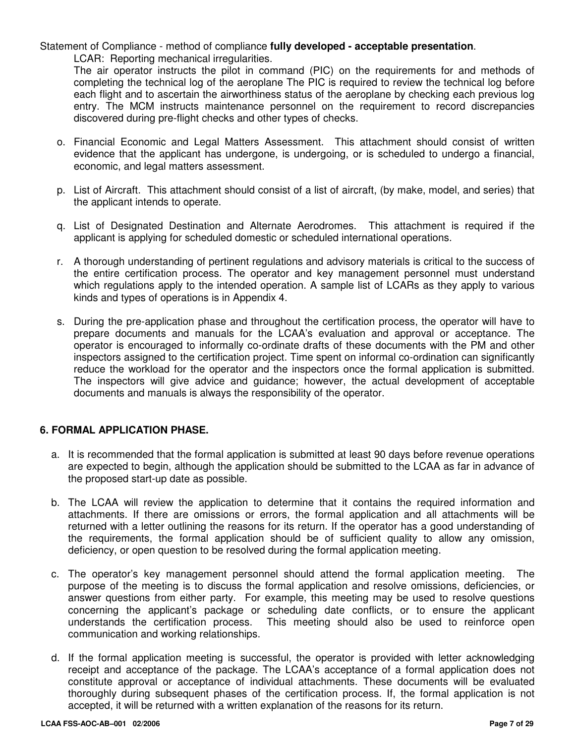Statement of Compliance - method of compliance **fully developed - acceptable presentation**. LCAR: Reporting mechanical irregularities.

The air operator instructs the pilot in command (PIC) on the requirements for and methods of completing the technical log of the aeroplane The PIC is required to review the technical log before each flight and to ascertain the airworthiness status of the aeroplane by checking each previous log entry. The MCM instructs maintenance personnel on the requirement to record discrepancies discovered during pre-flight checks and other types of checks.

- o. Financial Economic and Legal Matters Assessment. This attachment should consist of written evidence that the applicant has undergone, is undergoing, or is scheduled to undergo a financial, economic, and legal matters assessment.
- p. List of Aircraft. This attachment should consist of a list of aircraft, (by make, model, and series) that the applicant intends to operate.
- q. List of Designated Destination and Alternate Aerodromes. This attachment is required if the applicant is applying for scheduled domestic or scheduled international operations.
- r. A thorough understanding of pertinent regulations and advisory materials is critical to the success of the entire certification process. The operator and key management personnel must understand which regulations apply to the intended operation. A sample list of LCARs as they apply to various kinds and types of operations is in Appendix 4.
- s. During the pre-application phase and throughout the certification process, the operator will have to prepare documents and manuals for the LCAA's evaluation and approval or acceptance. The operator is encouraged to informally co-ordinate drafts of these documents with the PM and other inspectors assigned to the certification project. Time spent on informal co-ordination can significantly reduce the workload for the operator and the inspectors once the formal application is submitted. The inspectors will give advice and guidance; however, the actual development of acceptable documents and manuals is always the responsibility of the operator.

#### **6. FORMAL APPLICATION PHASE.**

- a. It is recommended that the formal application is submitted at least 90 days before revenue operations are expected to begin, although the application should be submitted to the LCAA as far in advance of the proposed start-up date as possible.
- b. The LCAA will review the application to determine that it contains the required information and attachments. If there are omissions or errors, the formal application and all attachments will be returned with a letter outlining the reasons for its return. If the operator has a good understanding of the requirements, the formal application should be of sufficient quality to allow any omission, deficiency, or open question to be resolved during the formal application meeting.
- c. The operator's key management personnel should attend the formal application meeting. The purpose of the meeting is to discuss the formal application and resolve omissions, deficiencies, or answer questions from either party. For example, this meeting may be used to resolve questions concerning the applicant's package or scheduling date conflicts, or to ensure the applicant understands the certification process. This meeting should also be used to reinforce open communication and working relationships.
- d. If the formal application meeting is successful, the operator is provided with letter acknowledging receipt and acceptance of the package. The LCAA's acceptance of a formal application does not constitute approval or acceptance of individual attachments. These documents will be evaluated thoroughly during subsequent phases of the certification process. If, the formal application is not accepted, it will be returned with a written explanation of the reasons for its return.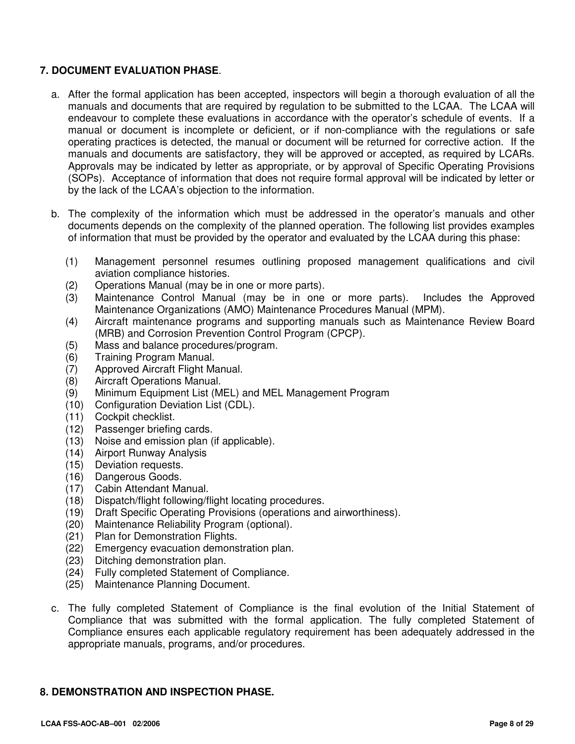#### **7. DOCUMENT EVALUATION PHASE**.

- a. After the formal application has been accepted, inspectors will begin a thorough evaluation of all the manuals and documents that are required by regulation to be submitted to the LCAA. The LCAA will endeavour to complete these evaluations in accordance with the operator's schedule of events. If a manual or document is incomplete or deficient, or if non-compliance with the regulations or safe operating practices is detected, the manual or document will be returned for corrective action. If the manuals and documents are satisfactory, they will be approved or accepted, as required by LCARs. Approvals may be indicated by letter as appropriate, or by approval of Specific Operating Provisions (SOPs). Acceptance of information that does not require formal approval will be indicated by letter or by the lack of the LCAA's objection to the information.
- b. The complexity of the information which must be addressed in the operator's manuals and other documents depends on the complexity of the planned operation. The following list provides examples of information that must be provided by the operator and evaluated by the LCAA during this phase:
	- (1) Management personnel resumes outlining proposed management qualifications and civil aviation compliance histories.
	- (2) Operations Manual (may be in one or more parts).
	- (3) Maintenance Control Manual (may be in one or more parts). Includes the Approved Maintenance Organizations (AMO) Maintenance Procedures Manual (MPM).
	- (4) Aircraft maintenance programs and supporting manuals such as Maintenance Review Board (MRB) and Corrosion Prevention Control Program (CPCP).
	- (5) Mass and balance procedures/program.
	- (6) Training Program Manual.
	- (7) Approved Aircraft Flight Manual.
	- (8) Aircraft Operations Manual.
	- (9) Minimum Equipment List (MEL) and MEL Management Program
	- (10) Configuration Deviation List (CDL).
	- (11) Cockpit checklist.
	- (12) Passenger briefing cards.
	- (13) Noise and emission plan (if applicable).
	- (14) Airport Runway Analysis
	- (15) Deviation requests.
	- (16) Dangerous Goods.
	- (17) Cabin Attendant Manual.
	- (18) Dispatch/flight following/flight locating procedures.
	- (19) Draft Specific Operating Provisions (operations and airworthiness).
	- (20) Maintenance Reliability Program (optional).
	- (21) Plan for Demonstration Flights.
	- (22) Emergency evacuation demonstration plan.
	- (23) Ditching demonstration plan.
	- (24) Fully completed Statement of Compliance.
	- (25) Maintenance Planning Document.
- c. The fully completed Statement of Compliance is the final evolution of the Initial Statement of Compliance that was submitted with the formal application. The fully completed Statement of Compliance ensures each applicable regulatory requirement has been adequately addressed in the appropriate manuals, programs, and/or procedures.

#### **8. DEMONSTRATION AND INSPECTION PHASE.**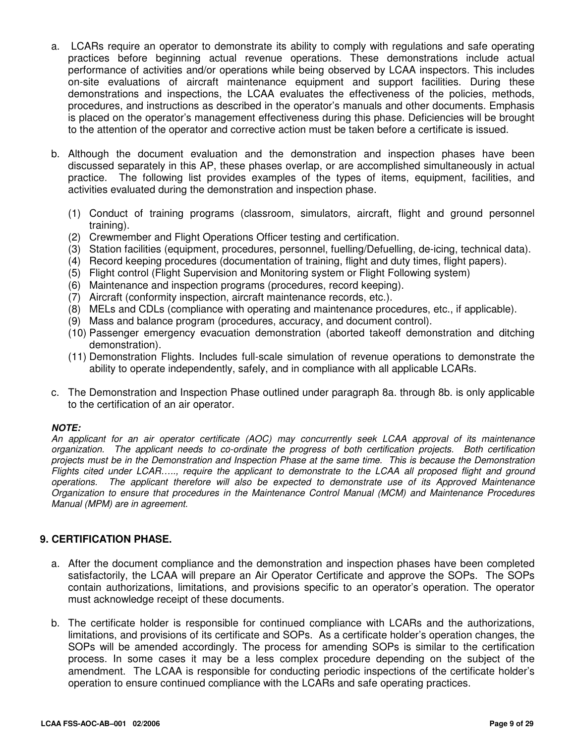- a. LCARs require an operator to demonstrate its ability to comply with regulations and safe operating practices before beginning actual revenue operations. These demonstrations include actual performance of activities and/or operations while being observed by LCAA inspectors. This includes on-site evaluations of aircraft maintenance equipment and support facilities. During these demonstrations and inspections, the LCAA evaluates the effectiveness of the policies, methods, procedures, and instructions as described in the operator's manuals and other documents. Emphasis is placed on the operator's management effectiveness during this phase. Deficiencies will be brought to the attention of the operator and corrective action must be taken before a certificate is issued.
- b. Although the document evaluation and the demonstration and inspection phases have been discussed separately in this AP, these phases overlap, or are accomplished simultaneously in actual practice. The following list provides examples of the types of items, equipment, facilities, and activities evaluated during the demonstration and inspection phase.
	- (1) Conduct of training programs (classroom, simulators, aircraft, flight and ground personnel training).
	- (2) Crewmember and Flight Operations Officer testing and certification.
	- (3) Station facilities (equipment, procedures, personnel, fuelling/Defuelling, de-icing, technical data).
	- (4) Record keeping procedures (documentation of training, flight and duty times, flight papers).
	- (5) Flight control (Flight Supervision and Monitoring system or Flight Following system)
	- (6) Maintenance and inspection programs (procedures, record keeping).
	- (7) Aircraft (conformity inspection, aircraft maintenance records, etc.).
	- (8) MELs and CDLs (compliance with operating and maintenance procedures, etc., if applicable).
	- (9) Mass and balance program (procedures, accuracy, and document control).
	- (10) Passenger emergency evacuation demonstration (aborted takeoff demonstration and ditching demonstration).
	- (11) Demonstration Flights. Includes full-scale simulation of revenue operations to demonstrate the ability to operate independently, safely, and in compliance with all applicable LCARs.
- c. The Demonstration and Inspection Phase outlined under paragraph 8a. through 8b. is only applicable to the certification of an air operator.

#### **NOTE:**

An applicant for an air operator certificate (AOC) may concurrently seek LCAA approval of its maintenance organization. The applicant needs to co-ordinate the progress of both certification projects. Both certification projects must be in the Demonstration and Inspection Phase at the same time. This is because the Demonstration Flights cited under LCAR….., require the applicant to demonstrate to the LCAA all proposed flight and ground operations. The applicant therefore will also be expected to demonstrate use of its Approved Maintenance Organization to ensure that procedures in the Maintenance Control Manual (MCM) and Maintenance Procedures Manual (MPM) are in agreement.

#### **9. CERTIFICATION PHASE.**

- a. After the document compliance and the demonstration and inspection phases have been completed satisfactorily, the LCAA will prepare an Air Operator Certificate and approve the SOPs. The SOPs contain authorizations, limitations, and provisions specific to an operator's operation. The operator must acknowledge receipt of these documents.
- b. The certificate holder is responsible for continued compliance with LCARs and the authorizations, limitations, and provisions of its certificate and SOPs. As a certificate holder's operation changes, the SOPs will be amended accordingly. The process for amending SOPs is similar to the certification process. In some cases it may be a less complex procedure depending on the subject of the amendment. The LCAA is responsible for conducting periodic inspections of the certificate holder's operation to ensure continued compliance with the LCARs and safe operating practices.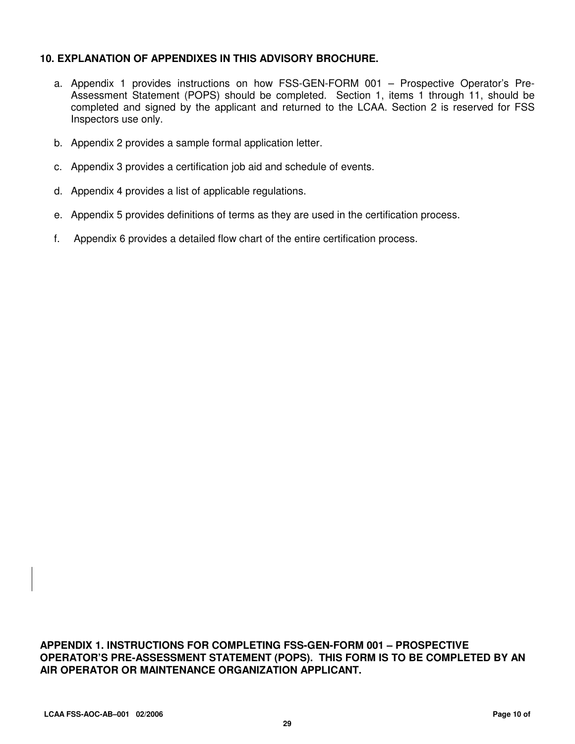#### **10. EXPLANATION OF APPENDIXES IN THIS ADVISORY BROCHURE.**

- a. Appendix 1 provides instructions on how FSS-GEN-FORM 001 Prospective Operator's Pre-Assessment Statement (POPS) should be completed. Section 1, items 1 through 11, should be completed and signed by the applicant and returned to the LCAA. Section 2 is reserved for FSS Inspectors use only.
- b. Appendix 2 provides a sample formal application letter.
- c. Appendix 3 provides a certification job aid and schedule of events.
- d. Appendix 4 provides a list of applicable regulations.
- e. Appendix 5 provides definitions of terms as they are used in the certification process.
- f. Appendix 6 provides a detailed flow chart of the entire certification process.

**APPENDIX 1. INSTRUCTIONS FOR COMPLETING FSS-GEN-FORM 001 – PROSPECTIVE OPERATOR'S PRE-ASSESSMENT STATEMENT (POPS). THIS FORM IS TO BE COMPLETED BY AN AIR OPERATOR OR MAINTENANCE ORGANIZATION APPLICANT.**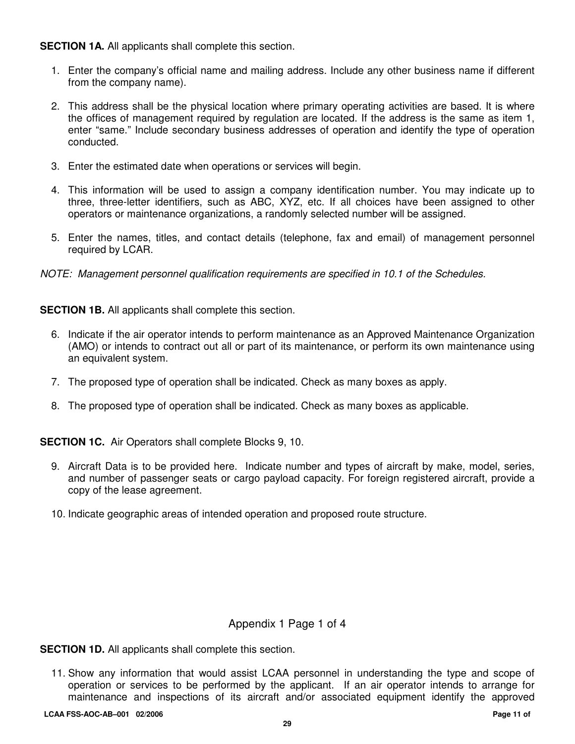**SECTION 1A.** All applicants shall complete this section.

- 1. Enter the company's official name and mailing address. Include any other business name if different from the company name).
- 2. This address shall be the physical location where primary operating activities are based. It is where the offices of management required by regulation are located. If the address is the same as item 1, enter "same." Include secondary business addresses of operation and identify the type of operation conducted.
- 3. Enter the estimated date when operations or services will begin.
- 4. This information will be used to assign a company identification number. You may indicate up to three, three-letter identifiers, such as ABC, XYZ, etc. If all choices have been assigned to other operators or maintenance organizations, a randomly selected number will be assigned.
- 5. Enter the names, titles, and contact details (telephone, fax and email) of management personnel required by LCAR.
- NOTE: Management personnel qualification requirements are specified in 10.1 of the Schedules.

**SECTION 1B.** All applicants shall complete this section.

- 6. Indicate if the air operator intends to perform maintenance as an Approved Maintenance Organization (AMO) or intends to contract out all or part of its maintenance, or perform its own maintenance using an equivalent system.
- 7. The proposed type of operation shall be indicated. Check as many boxes as apply.
- 8. The proposed type of operation shall be indicated. Check as many boxes as applicable.

**SECTION 1C.** Air Operators shall complete Blocks 9, 10.

- 9. Aircraft Data is to be provided here. Indicate number and types of aircraft by make, model, series, and number of passenger seats or cargo payload capacity. For foreign registered aircraft, provide a copy of the lease agreement.
- 10. Indicate geographic areas of intended operation and proposed route structure.

#### Appendix 1 Page 1 of 4

**SECTION 1D.** All applicants shall complete this section.

11. Show any information that would assist LCAA personnel in understanding the type and scope of operation or services to be performed by the applicant. If an air operator intends to arrange for maintenance and inspections of its aircraft and/or associated equipment identify the approved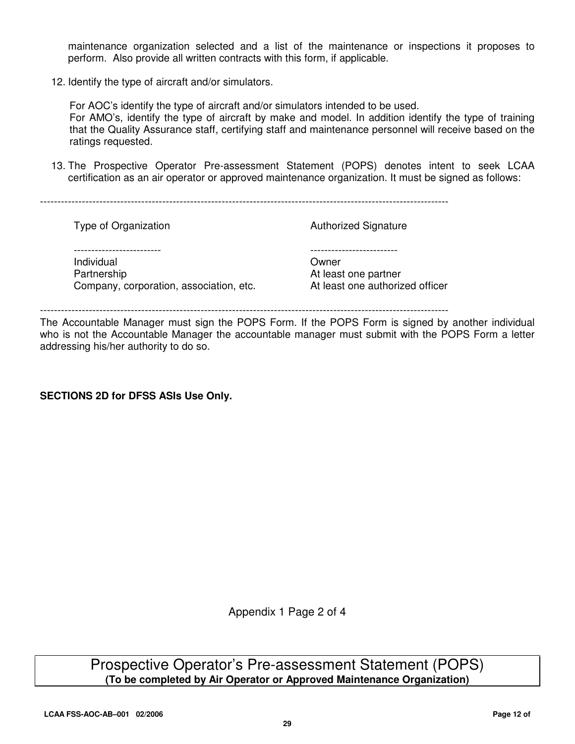maintenance organization selected and a list of the maintenance or inspections it proposes to perform. Also provide all written contracts with this form, if applicable.

12. Identify the type of aircraft and/or simulators.

For AOC's identify the type of aircraft and/or simulators intended to be used. For AMO's, identify the type of aircraft by make and model. In addition identify the type of training that the Quality Assurance staff, certifying staff and maintenance personnel will receive based on the ratings requested.

13. The Prospective Operator Pre-assessment Statement (POPS) denotes intent to seek LCAA certification as an air operator or approved maintenance organization. It must be signed as follows:

Type of Organization **Authorized Signature** Authorized Signature ------------------------- ------------------------- Individual Owner Partnership **Partnership At least one partner** Company, corporation, association, etc. At least one authorized officer

---------------------------------------------------------------------------------------------------------------------

The Accountable Manager must sign the POPS Form. If the POPS Form is signed by another individual who is not the Accountable Manager the accountable manager must submit with the POPS Form a letter addressing his/her authority to do so.

#### **SECTIONS 2D for DFSS ASIs Use Only.**

Appendix 1 Page 2 of 4

Prospective Operator's Pre-assessment Statement (POPS) **(To be completed by Air Operator or Approved Maintenance Organization)**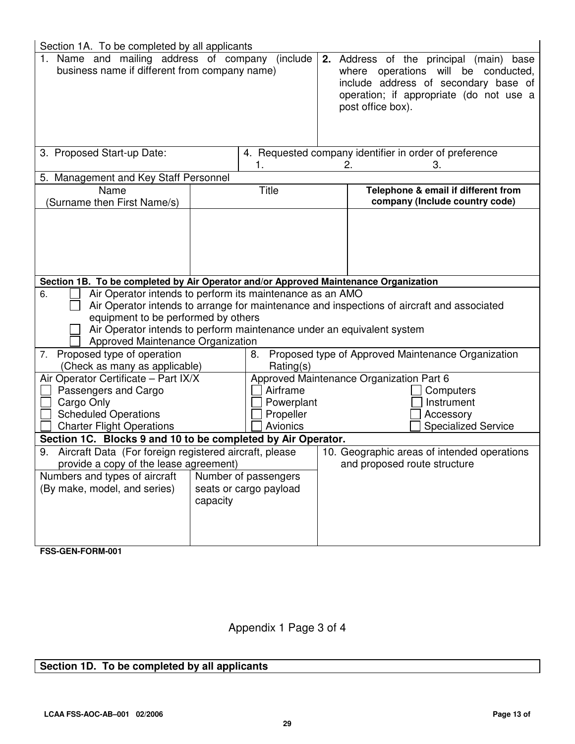| Section 1A. To be completed by all applicants                                                                                                                                                                         |          |                                                 |                                                                                                                                                                                        |
|-----------------------------------------------------------------------------------------------------------------------------------------------------------------------------------------------------------------------|----------|-------------------------------------------------|----------------------------------------------------------------------------------------------------------------------------------------------------------------------------------------|
| 1. Name and mailing address of company<br>(include<br>business name if different from company name)                                                                                                                   |          |                                                 | 2. Address of the principal (main) base<br>where operations will be conducted,<br>include address of secondary base of<br>operation; if appropriate (do not use a<br>post office box). |
| 3. Proposed Start-up Date:                                                                                                                                                                                            |          | 1.                                              | 4. Requested company identifier in order of preference<br>З.<br>2.                                                                                                                     |
| 5. Management and Key Staff Personnel                                                                                                                                                                                 |          |                                                 |                                                                                                                                                                                        |
| Name<br>(Surname then First Name/s)                                                                                                                                                                                   |          | <b>Title</b>                                    | Telephone & email if different from<br>company (Include country code)                                                                                                                  |
|                                                                                                                                                                                                                       |          |                                                 |                                                                                                                                                                                        |
| Section 1B. To be completed by Air Operator and/or Approved Maintenance Organization                                                                                                                                  |          |                                                 |                                                                                                                                                                                        |
| Air Operator intends to perform its maintenance as an AMO<br>6.<br>equipment to be performed by others<br>Air Operator intends to perform maintenance under an equivalent system<br>Approved Maintenance Organization |          |                                                 | Air Operator intends to arrange for maintenance and inspections of aircraft and associated                                                                                             |
| 7. Proposed type of operation                                                                                                                                                                                         |          | 8.<br>Rating(s)                                 | Proposed type of Approved Maintenance Organization                                                                                                                                     |
| (Check as many as applicable)<br>Air Operator Certificate - Part IX/X<br>Passengers and Cargo<br>Cargo Only<br><b>Scheduled Operations</b><br><b>Charter Flight Operations</b>                                        |          | Airframe<br>Powerplant<br>Propeller<br>Avionics | Approved Maintenance Organization Part 6<br>Computers<br>Instrument<br>Accessory<br><b>Specialized Service</b>                                                                         |
| Section 1C. Blocks 9 and 10 to be completed by Air Operator.                                                                                                                                                          |          |                                                 |                                                                                                                                                                                        |
| Aircraft Data (For foreign registered aircraft, please<br>9.<br>provide a copy of the lease agreement)<br>Numbers and types of aircraft<br>(By make, model, and series)                                               | capacity | Number of passengers<br>seats or cargo payload  | 10. Geographic areas of intended operations<br>and proposed route structure                                                                                                            |

**FSS-GEN-FORM-001** 

## Appendix 1 Page 3 of 4

## **Section 1D. To be completed by all applicants**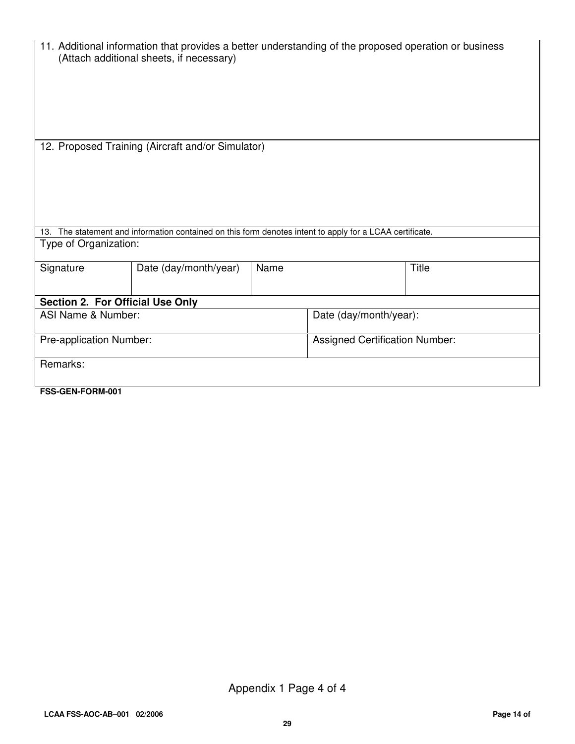|                                                   | 11. Additional information that provides a better understanding of the proposed operation or business<br>(Attach additional sheets, if necessary) |      |                                       |       |  |
|---------------------------------------------------|---------------------------------------------------------------------------------------------------------------------------------------------------|------|---------------------------------------|-------|--|
| 12. Proposed Training (Aircraft and/or Simulator) |                                                                                                                                                   |      |                                       |       |  |
|                                                   | 13. The statement and information contained on this form denotes intent to apply for a LCAA certificate.                                          |      |                                       |       |  |
| Type of Organization:                             |                                                                                                                                                   |      |                                       |       |  |
| Signature                                         | Date (day/month/year)                                                                                                                             | Name |                                       | Title |  |
| Section 2. For Official Use Only                  |                                                                                                                                                   |      |                                       |       |  |
| ASI Name & Number:                                |                                                                                                                                                   |      | Date (day/month/year):                |       |  |
| Pre-application Number:                           |                                                                                                                                                   |      | <b>Assigned Certification Number:</b> |       |  |
| Remarks:                                          |                                                                                                                                                   |      |                                       |       |  |
| FSS-GEN-FORM-001                                  |                                                                                                                                                   |      |                                       |       |  |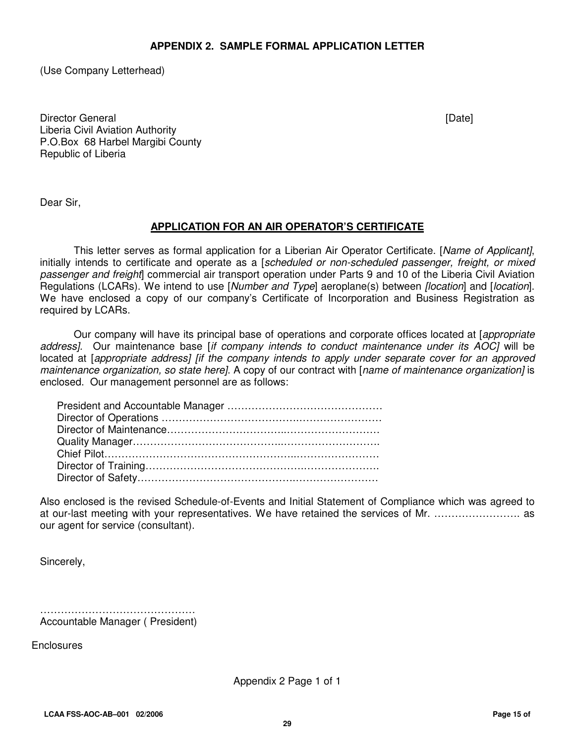#### **APPENDIX 2. SAMPLE FORMAL APPLICATION LETTER**

(Use Company Letterhead)

Director General **Executive Contract Contract Contract Contract Contract Contract Contract Contract Contract Contract Contract Contract Contract Contract Contract Contract Contract Contract Contract Contract Contract Contr** Liberia Civil Aviation Authority P.O.Box 68 Harbel Margibi County Republic of Liberia

Dear Sir,

#### **APPLICATION FOR AN AIR OPERATOR'S CERTIFICATE**

This letter serves as formal application for a Liberian Air Operator Certificate. [Name of Applicant], initially intends to certificate and operate as a [scheduled or non-scheduled passenger, freight, or mixed passenger and freight commercial air transport operation under Parts 9 and 10 of the Liberia Civil Aviation Regulations (LCARs). We intend to use [Number and Type] aeroplane(s) between [location] and [location]. We have enclosed a copy of our company's Certificate of Incorporation and Business Registration as required by LCARs.

Our company will have its principal base of operations and corporate offices located at [appropriate address]. Our maintenance base [if company intends to conduct maintenance under its AOC] will be located at [appropriate address] [if the company intends to apply under separate cover for an approved maintenance organization, so state here]. A copy of our contract with [name of maintenance organization] is enclosed. Our management personnel are as follows:

Also enclosed is the revised Schedule-of-Events and Initial Statement of Compliance which was agreed to at our-last meeting with your representatives. We have retained the services of Mr. ……………………. as our agent for service (consultant).

Sincerely,

……………………………………… Accountable Manager ( President)

Enclosures

Appendix 2 Page 1 of 1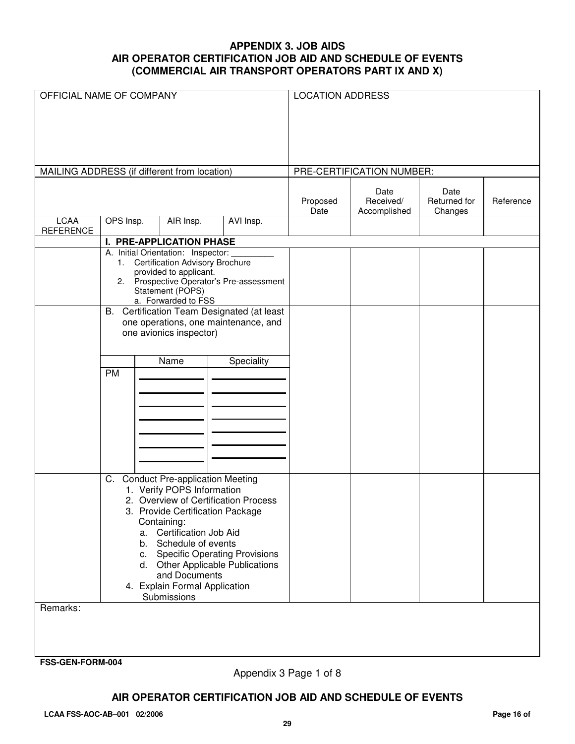#### **APPENDIX 3. JOB AIDS AIR OPERATOR CERTIFICATION JOB AID AND SCHEDULE OF EVENTS (COMMERCIAL AIR TRANSPORT OPERATORS PART IX AND X)**

| OFFICIAL NAME OF COMPANY                     |           |    |                                                                              |                                            | <b>LOCATION ADDRESS</b> |                                   |                                 |           |
|----------------------------------------------|-----------|----|------------------------------------------------------------------------------|--------------------------------------------|-------------------------|-----------------------------------|---------------------------------|-----------|
|                                              |           |    |                                                                              |                                            |                         |                                   |                                 |           |
|                                              |           |    |                                                                              |                                            |                         |                                   |                                 |           |
|                                              |           |    |                                                                              |                                            |                         |                                   |                                 |           |
| MAILING ADDRESS (if different from location) |           |    |                                                                              |                                            |                         | PRE-CERTIFICATION NUMBER:         |                                 |           |
|                                              |           |    |                                                                              |                                            | Proposed<br>Date        | Date<br>Received/<br>Accomplished | Date<br>Returned for<br>Changes | Reference |
| <b>LCAA</b><br><b>REFERENCE</b>              | OPS Insp. |    | AIR Insp.                                                                    | AVI Insp.                                  |                         |                                   |                                 |           |
|                                              |           |    | <b>I. PRE-APPLICATION PHASE</b>                                              |                                            |                         |                                   |                                 |           |
|                                              | 1.        |    | A. Initial Orientation: Inspector:<br><b>Certification Advisory Brochure</b> |                                            |                         |                                   |                                 |           |
|                                              |           |    | provided to applicant.                                                       |                                            |                         |                                   |                                 |           |
|                                              |           |    |                                                                              | 2. Prospective Operator's Pre-assessment   |                         |                                   |                                 |           |
|                                              |           |    | Statement (POPS)<br>a. Forwarded to FSS                                      |                                            |                         |                                   |                                 |           |
|                                              |           |    |                                                                              | B. Certification Team Designated (at least |                         |                                   |                                 |           |
|                                              |           |    | one avionics inspector)                                                      | one operations, one maintenance, and       |                         |                                   |                                 |           |
|                                              |           |    |                                                                              |                                            |                         |                                   |                                 |           |
|                                              |           |    | Name                                                                         | Speciality                                 |                         |                                   |                                 |           |
|                                              | PM        |    |                                                                              |                                            |                         |                                   |                                 |           |
|                                              |           |    |                                                                              |                                            |                         |                                   |                                 |           |
|                                              |           |    |                                                                              |                                            |                         |                                   |                                 |           |
|                                              |           |    |                                                                              |                                            |                         |                                   |                                 |           |
|                                              |           |    |                                                                              |                                            |                         |                                   |                                 |           |
|                                              |           |    |                                                                              |                                            |                         |                                   |                                 |           |
|                                              |           |    |                                                                              |                                            |                         |                                   |                                 |           |
|                                              |           |    |                                                                              |                                            |                         |                                   |                                 |           |
|                                              |           |    | C. Conduct Pre-application Meeting                                           |                                            |                         |                                   |                                 |           |
|                                              |           |    | 1. Verify POPS Information                                                   | 2. Overview of Certification Process       |                         |                                   |                                 |           |
|                                              |           |    | 3. Provide Certification Package                                             |                                            |                         |                                   |                                 |           |
|                                              |           |    | Containing:                                                                  |                                            |                         |                                   |                                 |           |
|                                              |           | a. | <b>Certification Job Aid</b><br>b. Schedule of events                        |                                            |                         |                                   |                                 |           |
|                                              |           | C. |                                                                              | <b>Specific Operating Provisions</b>       |                         |                                   |                                 |           |
|                                              |           |    |                                                                              | d. Other Applicable Publications           |                         |                                   |                                 |           |
|                                              |           |    | and Documents                                                                |                                            |                         |                                   |                                 |           |
|                                              |           |    | 4. Explain Formal Application<br>Submissions                                 |                                            |                         |                                   |                                 |           |
| Remarks:                                     |           |    |                                                                              |                                            |                         |                                   |                                 |           |
|                                              |           |    |                                                                              |                                            |                         |                                   |                                 |           |
|                                              |           |    |                                                                              |                                            |                         |                                   |                                 |           |
|                                              |           |    |                                                                              |                                            |                         |                                   |                                 |           |
| FSS-GEN-FORM-004                             |           |    |                                                                              |                                            |                         |                                   |                                 |           |

Appendix 3 Page 1 of 8

#### **AIR OPERATOR CERTIFICATION JOB AID AND SCHEDULE OF EVENTS**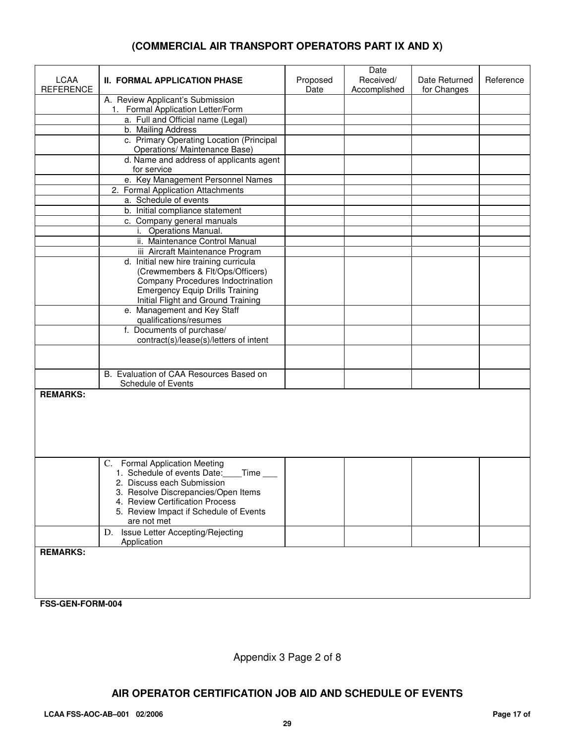#### **(COMMERCIAL AIR TRANSPORT OPERATORS PART IX AND X)**

| <b>LCAA</b><br><b>REFERENCE</b>     | <b>II. FORMAL APPLICATION PHASE</b>                                                                                                                                                                                                   | Proposed<br>Date | Date<br>Received/<br>Accomplished | Date Returned<br>for Changes | Reference |
|-------------------------------------|---------------------------------------------------------------------------------------------------------------------------------------------------------------------------------------------------------------------------------------|------------------|-----------------------------------|------------------------------|-----------|
|                                     | A. Review Applicant's Submission                                                                                                                                                                                                      |                  |                                   |                              |           |
|                                     | 1. Formal Application Letter/Form                                                                                                                                                                                                     |                  |                                   |                              |           |
|                                     | a. Full and Official name (Legal)                                                                                                                                                                                                     |                  |                                   |                              |           |
|                                     | b. Mailing Address                                                                                                                                                                                                                    |                  |                                   |                              |           |
|                                     | c. Primary Operating Location (Principal<br>Operations/ Maintenance Base)                                                                                                                                                             |                  |                                   |                              |           |
|                                     | d. Name and address of applicants agent<br>for service                                                                                                                                                                                |                  |                                   |                              |           |
|                                     | e. Key Management Personnel Names                                                                                                                                                                                                     |                  |                                   |                              |           |
|                                     | 2. Formal Application Attachments                                                                                                                                                                                                     |                  |                                   |                              |           |
|                                     | a. Schedule of events                                                                                                                                                                                                                 |                  |                                   |                              |           |
|                                     | b. Initial compliance statement                                                                                                                                                                                                       |                  |                                   |                              |           |
|                                     | c. Company general manuals                                                                                                                                                                                                            |                  |                                   |                              |           |
|                                     | i. Operations Manual.                                                                                                                                                                                                                 |                  |                                   |                              |           |
|                                     | ii. Maintenance Control Manual                                                                                                                                                                                                        |                  |                                   |                              |           |
|                                     | iii Aircraft Maintenance Program                                                                                                                                                                                                      |                  |                                   |                              |           |
|                                     | d. Initial new hire training curricula<br>(Crewmembers & Flt/Ops/Officers)<br>Company Procedures Indoctrination<br><b>Emergency Equip Drills Training</b><br>Initial Flight and Ground Training                                       |                  |                                   |                              |           |
|                                     | e. Management and Key Staff<br>qualifications/resumes                                                                                                                                                                                 |                  |                                   |                              |           |
|                                     | f. Documents of purchase/                                                                                                                                                                                                             |                  |                                   |                              |           |
|                                     | contract(s)/lease(s)/letters of intent                                                                                                                                                                                                |                  |                                   |                              |           |
|                                     |                                                                                                                                                                                                                                       |                  |                                   |                              |           |
|                                     | B. Evaluation of CAA Resources Based on<br>Schedule of Events                                                                                                                                                                         |                  |                                   |                              |           |
| <b>REMARKS:</b>                     |                                                                                                                                                                                                                                       |                  |                                   |                              |           |
|                                     | C. Formal Application Meeting<br>1. Schedule of events Date:<br>Time<br>2. Discuss each Submission<br>3. Resolve Discrepancies/Open Items<br>4. Review Certification Process<br>5. Review Impact if Schedule of Events<br>are not met |                  |                                   |                              |           |
|                                     | D. Issue Letter Accepting/Rejecting<br>Application                                                                                                                                                                                    |                  |                                   |                              |           |
| <b>REMARKS:</b><br>FSS-GEN-FORM-004 |                                                                                                                                                                                                                                       |                  |                                   |                              |           |

Appendix 3 Page 2 of 8

#### **AIR OPERATOR CERTIFICATION JOB AID AND SCHEDULE OF EVENTS**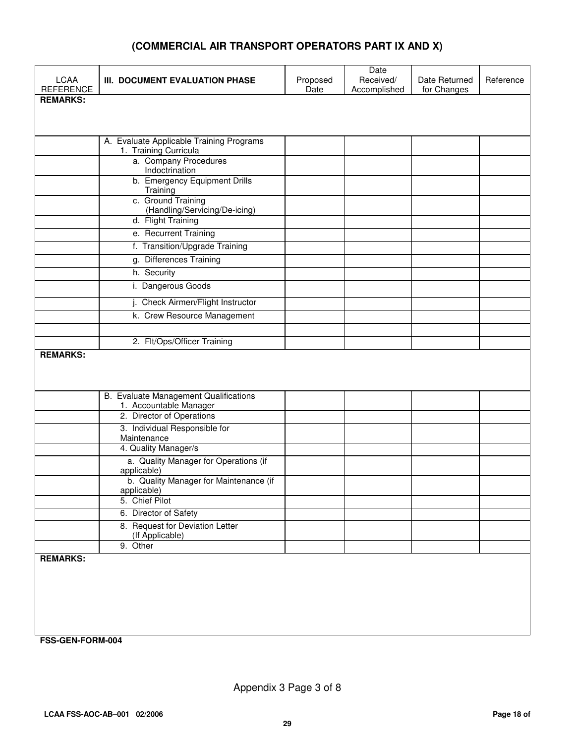#### **(COMMERCIAL AIR TRANSPORT OPERATORS PART IX AND X)**

| <b>LCAA</b><br><b>REFERENCE</b> | III. DOCUMENT EVALUATION PHASE                                            | Proposed<br>Date | Date<br>Received/<br>Accomplished | Date Returned<br>for Changes | Reference |
|---------------------------------|---------------------------------------------------------------------------|------------------|-----------------------------------|------------------------------|-----------|
| <b>REMARKS:</b>                 |                                                                           |                  |                                   |                              |           |
|                                 |                                                                           |                  |                                   |                              |           |
|                                 | A. Evaluate Applicable Training Programs<br>1. Training Curricula         |                  |                                   |                              |           |
|                                 | a. Company Procedures<br>Indoctrination                                   |                  |                                   |                              |           |
|                                 | b. Emergency Equipment Drills<br>Training                                 |                  |                                   |                              |           |
|                                 | c. Ground Training<br>(Handling/Servicing/De-icing)<br>d. Flight Training |                  |                                   |                              |           |
|                                 | e. Recurrent Training                                                     |                  |                                   |                              |           |
|                                 | f. Transition/Upgrade Training                                            |                  |                                   |                              |           |
|                                 | g. Differences Training                                                   |                  |                                   |                              |           |
|                                 | h. Security                                                               |                  |                                   |                              |           |
|                                 | i. Dangerous Goods                                                        |                  |                                   |                              |           |
|                                 | j. Check Airmen/Flight Instructor                                         |                  |                                   |                              |           |
|                                 | k. Crew Resource Management                                               |                  |                                   |                              |           |
|                                 |                                                                           |                  |                                   |                              |           |
| <b>REMARKS:</b>                 | 2. Flt/Ops/Officer Training                                               |                  |                                   |                              |           |
|                                 |                                                                           |                  |                                   |                              |           |
|                                 |                                                                           |                  |                                   |                              |           |
|                                 | B. Evaluate Management Qualifications                                     |                  |                                   |                              |           |
|                                 | 1. Accountable Manager                                                    |                  |                                   |                              |           |
|                                 | 2. Director of Operations<br>3. Individual Responsible for                |                  |                                   |                              |           |
|                                 | Maintenance                                                               |                  |                                   |                              |           |
|                                 | 4. Quality Manager/s                                                      |                  |                                   |                              |           |
|                                 | a. Quality Manager for Operations (if<br>applicable)                      |                  |                                   |                              |           |
|                                 | b. Quality Manager for Maintenance (if<br>applicable)                     |                  |                                   |                              |           |
|                                 | 5. Chief Pilot                                                            |                  |                                   |                              |           |
|                                 | 6. Director of Safety                                                     |                  |                                   |                              |           |
|                                 | 8. Request for Deviation Letter<br>(If Applicable)                        |                  |                                   |                              |           |
|                                 | 9. Other                                                                  |                  |                                   |                              |           |
| <b>REMARKS:</b>                 |                                                                           |                  |                                   |                              |           |
|                                 |                                                                           |                  |                                   |                              |           |
|                                 |                                                                           |                  |                                   |                              |           |
|                                 |                                                                           |                  |                                   |                              |           |
|                                 |                                                                           |                  |                                   |                              |           |
| FSS-GEN-FORM-004                |                                                                           |                  |                                   |                              |           |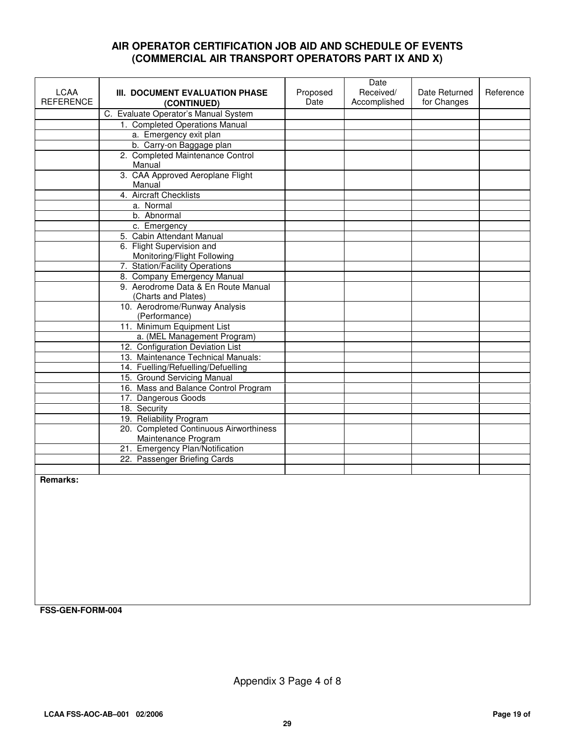#### **AIR OPERATOR CERTIFICATION JOB AID AND SCHEDULE OF EVENTS (COMMERCIAL AIR TRANSPORT OPERATORS PART IX AND X)**

|                  |                                                |          | Date         |               |           |
|------------------|------------------------------------------------|----------|--------------|---------------|-----------|
| <b>LCAA</b>      | III. DOCUMENT EVALUATION PHASE                 | Proposed | Received/    | Date Returned | Reference |
| <b>REFERENCE</b> | (CONTINUED)                                    | Date     | Accomplished | for Changes   |           |
|                  | C. Evaluate Operator's Manual System           |          |              |               |           |
|                  | 1. Completed Operations Manual                 |          |              |               |           |
|                  | a. Emergency exit plan                         |          |              |               |           |
|                  | b. Carry-on Baggage plan                       |          |              |               |           |
|                  | 2. Completed Maintenance Control<br>Manual     |          |              |               |           |
|                  | 3. CAA Approved Aeroplane Flight               |          |              |               |           |
|                  | Manual                                         |          |              |               |           |
|                  | 4. Aircraft Checklists                         |          |              |               |           |
|                  | a. Normal                                      |          |              |               |           |
|                  | b. Abnormal                                    |          |              |               |           |
|                  | c. Emergency                                   |          |              |               |           |
|                  | 5. Cabin Attendant Manual                      |          |              |               |           |
|                  | 6. Flight Supervision and                      |          |              |               |           |
|                  | Monitoring/Flight Following                    |          |              |               |           |
|                  | 7. Station/Facility Operations                 |          |              |               |           |
|                  | 8. Company Emergency Manual                    |          |              |               |           |
|                  | 9. Aerodrome Data & En Route Manual            |          |              |               |           |
|                  | (Charts and Plates)                            |          |              |               |           |
|                  | 10. Aerodrome/Runway Analysis<br>(Performance) |          |              |               |           |
|                  | 11. Minimum Equipment List                     |          |              |               |           |
|                  | a. (MEL Management Program)                    |          |              |               |           |
|                  | 12. Configuration Deviation List               |          |              |               |           |
|                  | 13. Maintenance Technical Manuals:             |          |              |               |           |
|                  | 14. Fuelling/Refuelling/Defuelling             |          |              |               |           |
|                  | 15. Ground Servicing Manual                    |          |              |               |           |
|                  | 16. Mass and Balance Control Program           |          |              |               |           |
|                  | 17. Dangerous Goods                            |          |              |               |           |
|                  | 18. Security                                   |          |              |               |           |
|                  | 19. Reliability Program                        |          |              |               |           |
|                  | 20. Completed Continuous Airworthiness         |          |              |               |           |
|                  | Maintenance Program                            |          |              |               |           |
|                  | 21. Emergency Plan/Notification                |          |              |               |           |
|                  | 22. Passenger Briefing Cards                   |          |              |               |           |
|                  |                                                |          |              |               |           |
| $D = mc + d$     |                                                |          |              |               |           |

**Remarks:** 

**FSS-GEN-FORM-004**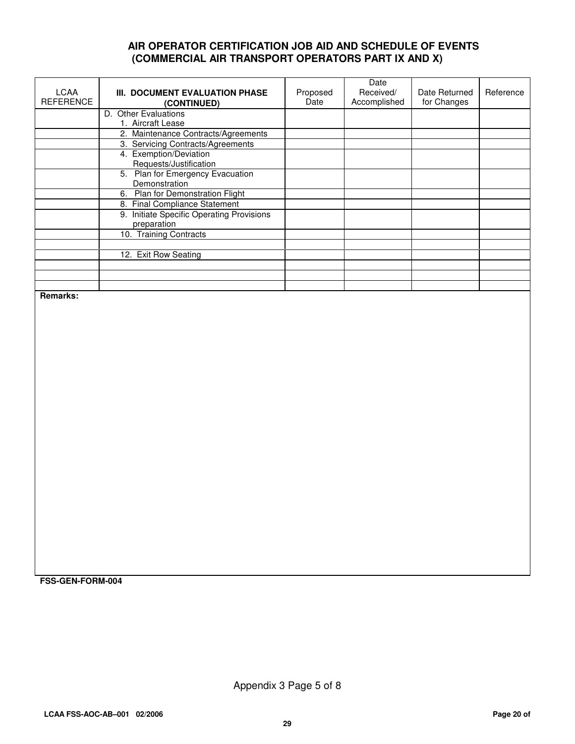#### **AIR OPERATOR CERTIFICATION JOB AID AND SCHEDULE OF EVENTS (COMMERCIAL AIR TRANSPORT OPERATORS PART IX AND X)**

| LCAA<br><b>REFERENCE</b> | III. DOCUMENT EVALUATION PHASE<br>(CONTINUED) | Proposed<br>Date | Date<br>Received/<br>Accomplished | Date Returned<br>for Changes | Reference |
|--------------------------|-----------------------------------------------|------------------|-----------------------------------|------------------------------|-----------|
|                          | D. Other Evaluations                          |                  |                                   |                              |           |
|                          | 1. Aircraft Lease                             |                  |                                   |                              |           |
|                          | 2. Maintenance Contracts/Agreements           |                  |                                   |                              |           |
|                          | 3. Servicing Contracts/Agreements             |                  |                                   |                              |           |
|                          | 4. Exemption/Deviation                        |                  |                                   |                              |           |
|                          | Requests/Justification                        |                  |                                   |                              |           |
|                          | 5. Plan for Emergency Evacuation              |                  |                                   |                              |           |
|                          | Demonstration                                 |                  |                                   |                              |           |
|                          | Plan for Demonstration Flight<br>6.           |                  |                                   |                              |           |
|                          | 8. Final Compliance Statement                 |                  |                                   |                              |           |
|                          | Initiate Specific Operating Provisions<br>9.  |                  |                                   |                              |           |
|                          | preparation                                   |                  |                                   |                              |           |
|                          | 10. Training Contracts                        |                  |                                   |                              |           |
|                          |                                               |                  |                                   |                              |           |
|                          | 12. Exit Row Seating                          |                  |                                   |                              |           |
|                          |                                               |                  |                                   |                              |           |
|                          |                                               |                  |                                   |                              |           |
|                          |                                               |                  |                                   |                              |           |

**Remarks:** 

**FSS-GEN-FORM-004** 

Appendix 3 Page 5 of 8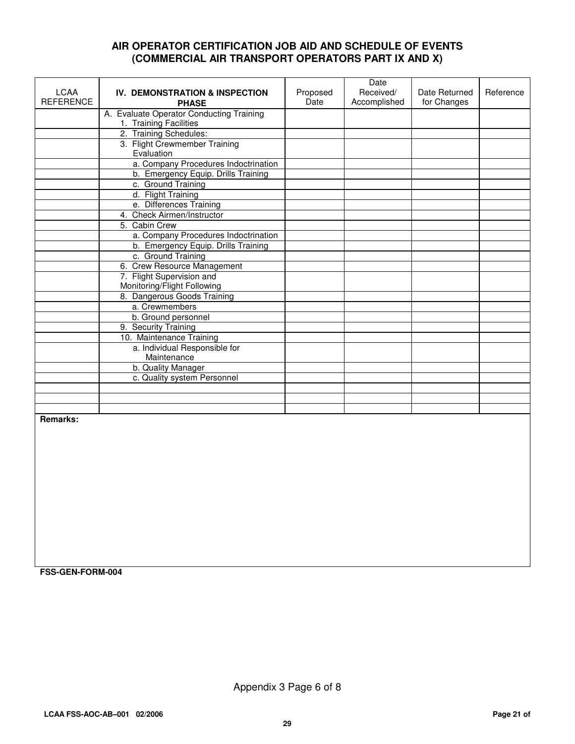#### **AIR OPERATOR CERTIFICATION JOB AID AND SCHEDULE OF EVENTS (COMMERCIAL AIR TRANSPORT OPERATORS PART IX AND X)**

| <b>LCAA</b>      | <b>IV. DEMONSTRATION &amp; INSPECTION</b>    | Proposed | Date<br>Received/ | Date Returned | Reference |
|------------------|----------------------------------------------|----------|-------------------|---------------|-----------|
| <b>REFERENCE</b> | <b>PHASE</b>                                 | Date     | Accomplished      | for Changes   |           |
|                  | A. Evaluate Operator Conducting Training     |          |                   |               |           |
|                  | 1. Training Facilities                       |          |                   |               |           |
|                  | 2. Training Schedules:                       |          |                   |               |           |
|                  | 3. Flight Crewmember Training<br>Evaluation  |          |                   |               |           |
|                  | a. Company Procedures Indoctrination         |          |                   |               |           |
|                  | b. Emergency Equip. Drills Training          |          |                   |               |           |
|                  | c. Ground Training                           |          |                   |               |           |
|                  | d. Flight Training                           |          |                   |               |           |
|                  | e. Differences Training                      |          |                   |               |           |
|                  | 4. Check Airmen/Instructor                   |          |                   |               |           |
|                  | 5. Cabin Crew                                |          |                   |               |           |
|                  | a. Company Procedures Indoctrination         |          |                   |               |           |
|                  | b. Emergency Equip. Drills Training          |          |                   |               |           |
|                  | c. Ground Training                           |          |                   |               |           |
|                  | 6. Crew Resource Management                  |          |                   |               |           |
|                  | 7. Flight Supervision and                    |          |                   |               |           |
|                  | Monitoring/Flight Following                  |          |                   |               |           |
|                  | 8. Dangerous Goods Training                  |          |                   |               |           |
|                  | a. Crewmembers                               |          |                   |               |           |
|                  | b. Ground personnel                          |          |                   |               |           |
|                  | 9. Security Training                         |          |                   |               |           |
|                  | 10. Maintenance Training                     |          |                   |               |           |
|                  | a. Individual Responsible for<br>Maintenance |          |                   |               |           |
|                  | b. Quality Manager                           |          |                   |               |           |
|                  | c. Quality system Personnel                  |          |                   |               |           |
|                  |                                              |          |                   |               |           |
|                  |                                              |          |                   |               |           |
|                  |                                              |          |                   |               |           |
|                  |                                              |          |                   |               |           |

**Remarks:** 

**FSS-GEN-FORM-004** 

Appendix 3 Page 6 of 8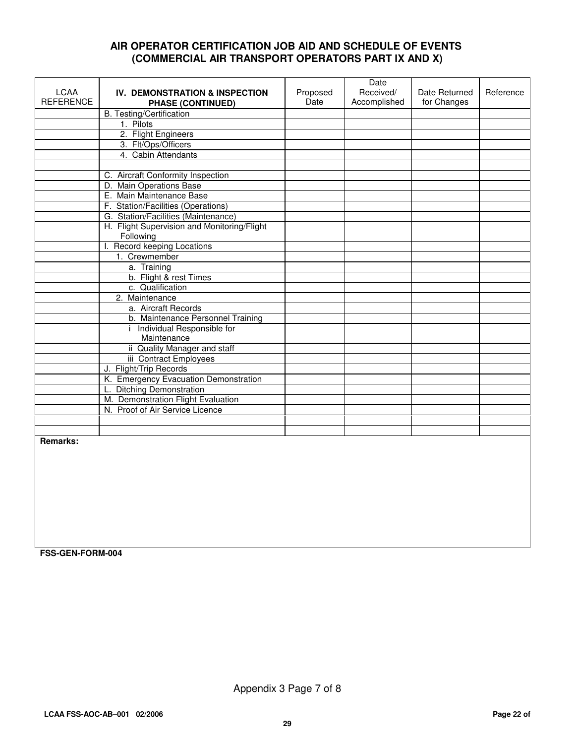#### **AIR OPERATOR CERTIFICATION JOB AID AND SCHEDULE OF EVENTS (COMMERCIAL AIR TRANSPORT OPERATORS PART IX AND X)**

|                                 |                                                            |                  | Date                      |                              |           |
|---------------------------------|------------------------------------------------------------|------------------|---------------------------|------------------------------|-----------|
| <b>LCAA</b><br><b>REFERENCE</b> | IV. DEMONSTRATION & INSPECTION<br><b>PHASE (CONTINUED)</b> | Proposed<br>Date | Received/<br>Accomplished | Date Returned<br>for Changes | Reference |
|                                 | <b>B.</b> Testing/Certification                            |                  |                           |                              |           |
|                                 | 1. Pilots                                                  |                  |                           |                              |           |
|                                 | 2. Flight Engineers                                        |                  |                           |                              |           |
|                                 | 3. Flt/Ops/Officers                                        |                  |                           |                              |           |
|                                 | 4. Cabin Attendants                                        |                  |                           |                              |           |
|                                 |                                                            |                  |                           |                              |           |
|                                 | C. Aircraft Conformity Inspection                          |                  |                           |                              |           |
|                                 | D. Main Operations Base                                    |                  |                           |                              |           |
|                                 | E. Main Maintenance Base                                   |                  |                           |                              |           |
|                                 | F. Station/Facilities (Operations)                         |                  |                           |                              |           |
|                                 | G. Station/Facilities (Maintenance)                        |                  |                           |                              |           |
|                                 | H. Flight Supervision and Monitoring/Flight<br>Following   |                  |                           |                              |           |
|                                 | I. Record keeping Locations                                |                  |                           |                              |           |
|                                 | 1. Crewmember                                              |                  |                           |                              |           |
|                                 | a. Training                                                |                  |                           |                              |           |
|                                 | b. Flight & rest Times                                     |                  |                           |                              |           |
|                                 | c. Qualification                                           |                  |                           |                              |           |
|                                 | 2. Maintenance                                             |                  |                           |                              |           |
|                                 | a. Aircraft Records                                        |                  |                           |                              |           |
|                                 | b. Maintenance Personnel Training                          |                  |                           |                              |           |
|                                 | i Individual Responsible for<br>Maintenance                |                  |                           |                              |           |
|                                 | ii Quality Manager and staff                               |                  |                           |                              |           |
|                                 | iii Contract Employees                                     |                  |                           |                              |           |
|                                 | J. Flight/Trip Records                                     |                  |                           |                              |           |
|                                 | K. Emergency Evacuation Demonstration                      |                  |                           |                              |           |
|                                 | L. Ditching Demonstration                                  |                  |                           |                              |           |
|                                 | M. Demonstration Flight Evaluation                         |                  |                           |                              |           |
|                                 | N. Proof of Air Service Licence                            |                  |                           |                              |           |
|                                 |                                                            |                  |                           |                              |           |
|                                 |                                                            |                  |                           |                              |           |
| Remarks:                        |                                                            |                  |                           |                              |           |

**FSS-GEN-FORM-004**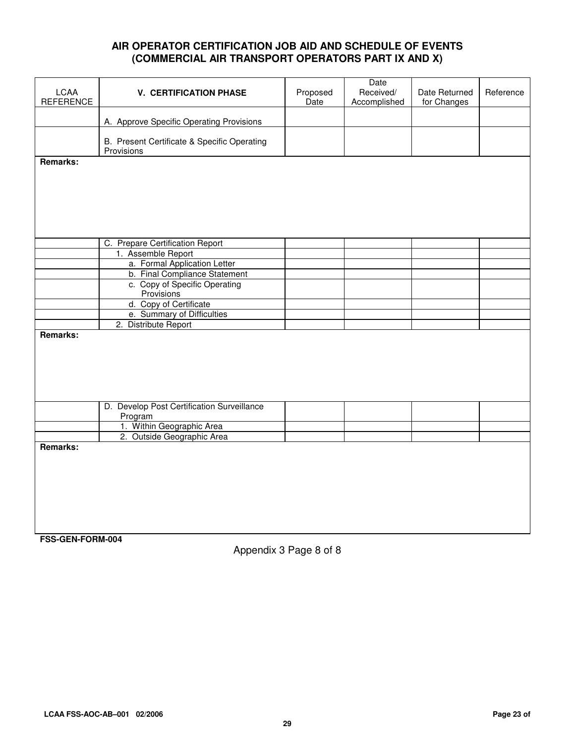#### **AIR OPERATOR CERTIFICATION JOB AID AND SCHEDULE OF EVENTS (COMMERCIAL AIR TRANSPORT OPERATORS PART IX AND X)**

|                  |                                                       |          | Date         |               |           |
|------------------|-------------------------------------------------------|----------|--------------|---------------|-----------|
| <b>LCAA</b>      | <b>V. CERTIFICATION PHASE</b>                         | Proposed | Received/    | Date Returned | Reference |
| <b>REFERENCE</b> |                                                       | Date     | Accomplished | for Changes   |           |
|                  | A. Approve Specific Operating Provisions              |          |              |               |           |
|                  |                                                       |          |              |               |           |
|                  | B. Present Certificate & Specific Operating           |          |              |               |           |
|                  | Provisions                                            |          |              |               |           |
| <b>Remarks:</b>  |                                                       |          |              |               |           |
|                  |                                                       |          |              |               |           |
|                  |                                                       |          |              |               |           |
|                  |                                                       |          |              |               |           |
|                  |                                                       |          |              |               |           |
|                  |                                                       |          |              |               |           |
|                  |                                                       |          |              |               |           |
|                  | C. Prepare Certification Report                       |          |              |               |           |
|                  | 1. Assemble Report                                    |          |              |               |           |
|                  | a. Formal Application Letter                          |          |              |               |           |
|                  | b. Final Compliance Statement                         |          |              |               |           |
|                  | c. Copy of Specific Operating                         |          |              |               |           |
|                  | Provisions                                            |          |              |               |           |
|                  | d. Copy of Certificate                                |          |              |               |           |
|                  | e. Summary of Difficulties                            |          |              |               |           |
|                  | 2. Distribute Report                                  |          |              |               |           |
| <b>Remarks:</b>  |                                                       |          |              |               |           |
|                  |                                                       |          |              |               |           |
|                  |                                                       |          |              |               |           |
|                  |                                                       |          |              |               |           |
|                  |                                                       |          |              |               |           |
|                  |                                                       |          |              |               |           |
|                  |                                                       |          |              |               |           |
|                  | D. Develop Post Certification Surveillance<br>Program |          |              |               |           |
|                  | 1. Within Geographic Area                             |          |              |               |           |
|                  | 2. Outside Geographic Area                            |          |              |               |           |
| Remarks:         |                                                       |          |              |               |           |
|                  |                                                       |          |              |               |           |
|                  |                                                       |          |              |               |           |
|                  |                                                       |          |              |               |           |
|                  |                                                       |          |              |               |           |
|                  |                                                       |          |              |               |           |
|                  |                                                       |          |              |               |           |
|                  |                                                       |          |              |               |           |
|                  |                                                       |          |              |               |           |

**FSS-GEN-FORM-004**

Appendix 3 Page 8 of 8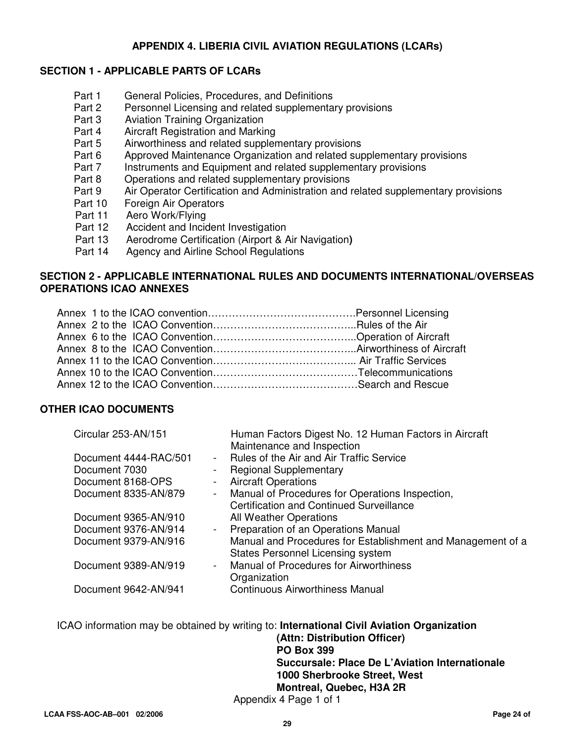#### **APPENDIX 4. LIBERIA CIVIL AVIATION REGULATIONS (LCARs)**

#### **SECTION 1 - APPLICABLE PARTS OF LCARs**

- Part 1 General Policies, Procedures, and Definitions
- Part 2 Personnel Licensing and related supplementary provisions
- Part 3 Aviation Training Organization<br>Part 4 Aircraft Registration and Markin
- Part 4 Aircraft Registration and Marking<br>Part 5 Airworthiness and related suppler
- Part 5 Airworthiness and related supplementary provisions<br>Part 6 Approved Maintenance Organization and related sure
- Approved Maintenance Organization and related supplementary provisions
- Part 7 Instruments and Equipment and related supplementary provisions
- Part 8 Operations and related supplementary provisions<br>Part 9 Air Operator Certification and Administration and i
- Air Operator Certification and Administration and related supplementary provisions
- Part 10 Foreign Air Operators
- Part 11 Aero Work/Flying
- Part 12 Accident and Incident Investigation
- Part 13 Aerodrome Certification (Airport & Air Navigation**)**
- Part 14 Agency and Airline School Regulations

#### **SECTION 2 - APPLICABLE INTERNATIONAL RULES AND DOCUMENTS INTERNATIONAL/OVERSEAS OPERATIONS ICAO ANNEXES**

#### **OTHER ICAO DOCUMENTS**

| Circular 253-AN/151                 | Human Factors Digest No. 12 Human Factors in Aircraft<br>Maintenance and Inspection |
|-------------------------------------|-------------------------------------------------------------------------------------|
| Document 4444-RAC/501<br>$\sim 100$ | Rules of the Air and Air Traffic Service                                            |
| Document 7030<br>$\blacksquare$     | <b>Regional Supplementary</b>                                                       |
| Document 8168-OPS<br>$\blacksquare$ | <b>Aircraft Operations</b>                                                          |
| Document 8335-AN/879                | - Manual of Procedures for Operations Inspection,                                   |
|                                     | Certification and Continued Surveillance                                            |
| Document 9365-AN/910                | All Weather Operations                                                              |
| Document 9376-AN/914                | - Preparation of an Operations Manual                                               |
| Document 9379-AN/916                | Manual and Procedures for Establishment and Management of a                         |
|                                     | <b>States Personnel Licensing system</b>                                            |
| Document 9389-AN/919                | <b>Manual of Procedures for Airworthiness</b><br>$\sim 100$                         |
|                                     | Organization                                                                        |
| Document 9642-AN/941                | <b>Continuous Airworthiness Manual</b>                                              |
|                                     |                                                                                     |

ICAO information may be obtained by writing to: **International Civil Aviation Organization (Attn: Distribution Officer) PO Box 399 Succursale: Place De L'Aviation Internationale 1000 Sherbrooke Street, West** 

 **Montreal, Quebec, H3A 2R** 

Appendix 4 Page 1 of 1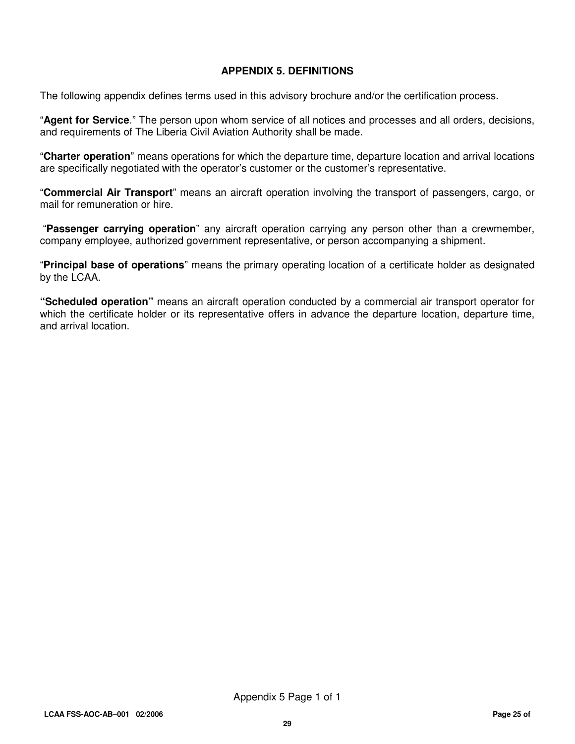#### **APPENDIX 5. DEFINITIONS**

The following appendix defines terms used in this advisory brochure and/or the certification process.

"**Agent for Service**." The person upon whom service of all notices and processes and all orders, decisions, and requirements of The Liberia Civil Aviation Authority shall be made.

"**Charter operation**" means operations for which the departure time, departure location and arrival locations are specifically negotiated with the operator's customer or the customer's representative.

"**Commercial Air Transport**" means an aircraft operation involving the transport of passengers, cargo, or mail for remuneration or hire.

"**Passenger carrying operation**" any aircraft operation carrying any person other than a crewmember, company employee, authorized government representative, or person accompanying a shipment.

"**Principal base of operations**" means the primary operating location of a certificate holder as designated by the LCAA.

**"Scheduled operation"** means an aircraft operation conducted by a commercial air transport operator for which the certificate holder or its representative offers in advance the departure location, departure time, and arrival location.

Appendix 5 Page 1 of 1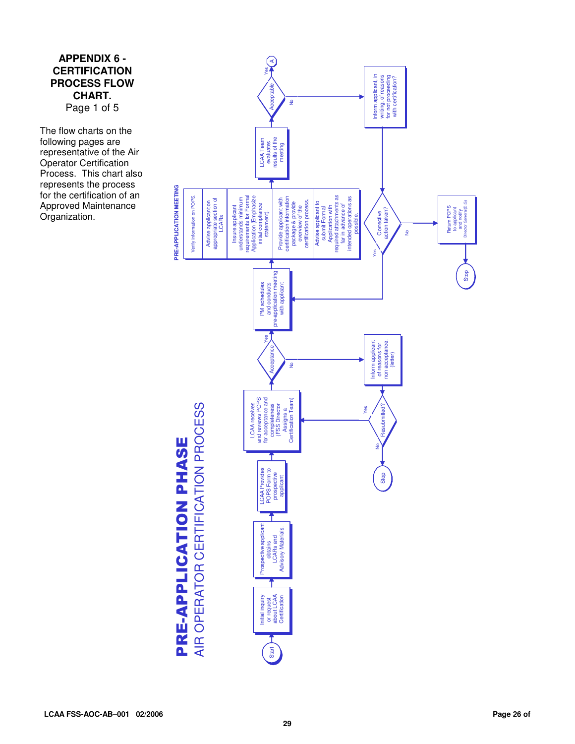#### **APPENDIX 6 - CERTIFICATION PROCESS FLOW CHART.**  Page 1 of 5

The flow charts on the following pages are representative of the Air Operator Certification Process. This chart also represents the process for the certification of an Approved Maintenance Organization.



PRE-APPLICATION PHASE PRE-APPLICATION PHASE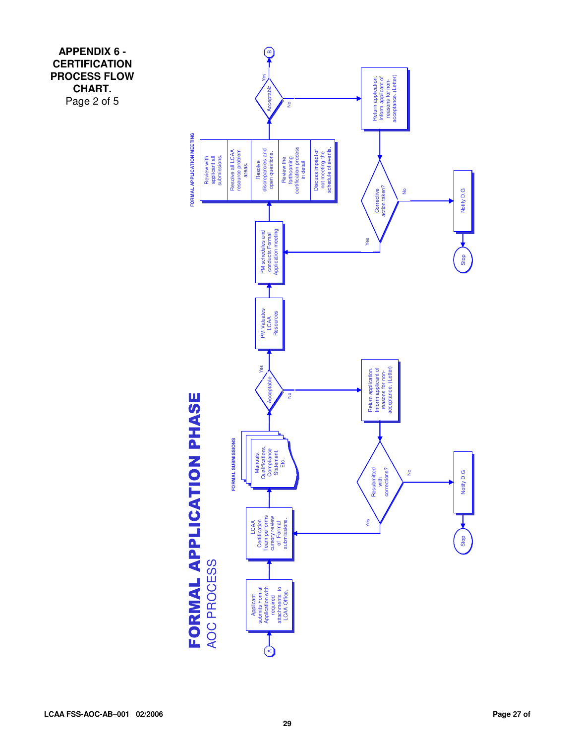**APPENDIX 6 - CERTIFICATION PROCESS FLOW CHART.**  Page 2 of 5

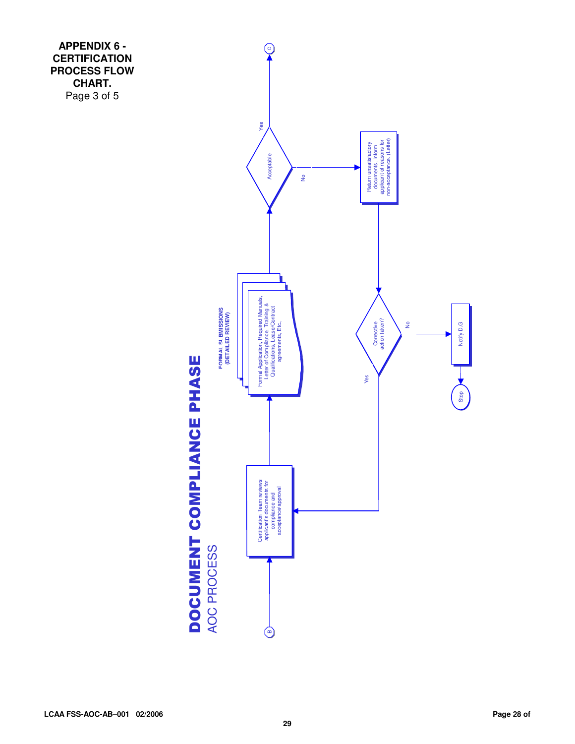**APPENDIX 6 - CERTIFICATION PROCESS FLOW CHART.**  Page 3 of 5

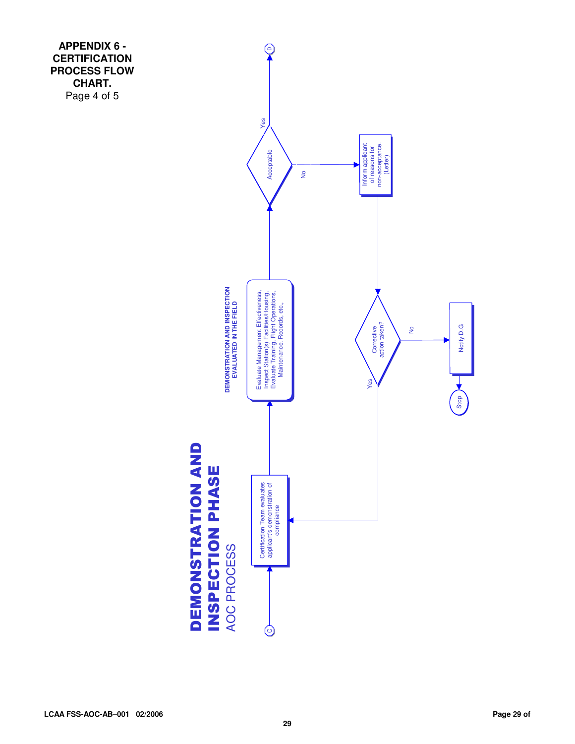**APPENDIX 6 - CERTIFICATION PROCESS FLOW CHART.**  Page 4 of 5